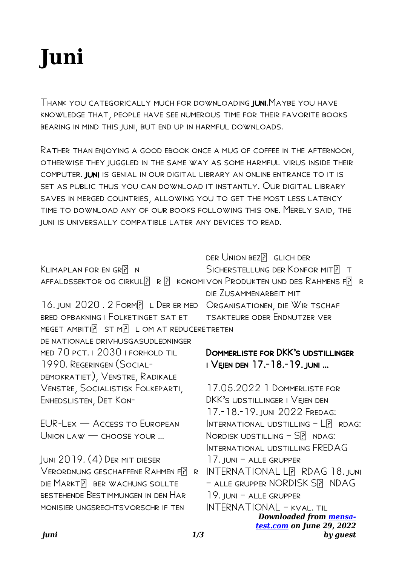# **Juni**

Thank you categorically much for downloading juni.Maybe you have knowledge that, people have see numerous time for their favorite books bearing in mind this juni, but end up in harmful downloads.

Rather than enjoying a good ebook once a mug of coffee in the afternoon, otherwise they juggled in the same way as some harmful virus inside their computer. juni is genial in our digital library an online entrance to it is set as public thus you can download it instantly. Our digital library saves in merged countries, allowing you to get the most less latency time to download any of our books following this one. Merely said, the juni is universally compatible later any devices to read.

|                                                                                     | DER UNION BEZ? GLICH DER                            |
|-------------------------------------------------------------------------------------|-----------------------------------------------------|
| KLIMAPLAN FOR EN GRP N                                                              | SICHERSTELLUNG DER KONFOR MIT? T                    |
| AFFALDSSEKTOR OG CIRKUL $[$ ? R $[$ ? KONOMIVON PRODUKTEN UND DES RAHMENS F $[$ ? R |                                                     |
|                                                                                     | DIE ZUSAMMENARBEIT MIT                              |
| 16. JUNI 2020. 2 FORM PL DER ER MED                                                 | ORGANISATIONEN, DIE WIR TSCHAF                      |
| BRED OPBAKNING I FOLKETINGET SAT ET                                                 | <b>TSAKTEURE ODER ENDNUTZER VER</b>                 |
| MEGET AMBITIE ST MP L OM AT REDUCERETRETEN                                          |                                                     |
| DE NATIONALE DRIVHUSGASUDLEDNINGER                                                  |                                                     |
| MED 70 PCT. I 2030 I FORHOLD TIL                                                    | DOMMERLISTE FOR DKK'S UDSTILLINGER                  |
| 1990. REGERINGEN (SOCIAL-                                                           | I VEJEN DEN 17.-18.-19. JUNI                        |
| DEMOKRATIET), VENSTRE, RADIKALE                                                     |                                                     |
| VENSTRE, SOCIALISTISK FOLKEPARTI,                                                   | 17.05.2022 1 DOMMERLISTE FOR                        |
| ENHEDSLISTEN, DET KON-                                                              | DKK'S UDSTILLINGER I VEJEN DEN                      |
|                                                                                     | 17.-18.-19. juni 2022 Fredag:                       |
| EUR-LEX - ACCESS TO EUROPEAN                                                        | INTERNATIONAL UDSTILLING $-L$ <sup>[2]</sup> RDAG:  |
| UNION LAW - CHOOSE YOUR                                                             | NORDISK UDSTILLING $ S$ $\overline{P}$ ndag:        |
|                                                                                     | INTERNATIONAL UDSTILLING FREDAG                     |
| JUNI 2019. (4) DER MIT DIESER                                                       | $17.$ JUNI $-$ ALLE GRUPPER                         |
| VERORDNUNG GESCHAFFENE RAHMEN F?<br>R                                               | <b>INTERNATIONAL LP RDAG 18. JUNI</b>               |
| DIE MARKTE BER WACHUNG SOLLTE                                                       | - ALLE GRUPPER NORDISK SP NDAG                      |
| BESTEHENDE BESTIMMUNGEN IN DEN HAR                                                  | 19. JUNI - ALLE GRUPPER                             |
| MONISIER UNGSRECHTSVORSCHR IF TEN                                                   | INTERNATIONAL — kval. til                           |
|                                                                                     | Downloaded from mensa-<br>test.com on June 29, 2022 |
|                                                                                     |                                                     |

*by guest*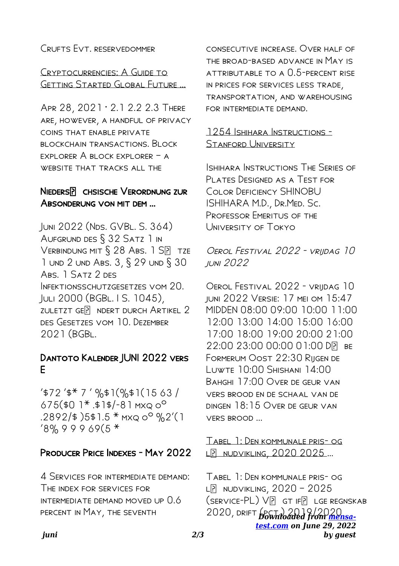## CRUETS FVT RESERVEDOMMER

CRYPTOCURRENCIES: A GUIDE TO **GETTING STARTED GLOBAL FUTURE ...** 

APR 28, 2021 . 2.1 2.2 2.3 THERE ARE, HOWEVER, A HANDFUL OF PRIVACY COINS THAT ENABLE PRIVATE BLOCKCHAIN TRANSACTIONS, BLOCK EXPLORER A BLOCK EXPLORER - A WEBSITE THAT TRACKS ALL THE

## NIEDERSP CHSISCHE VERORDNUNG ZUR ABSONDERUNG VON MIT DEM ...

JUNI 2022 (NDS. GVBL. S. 364) AUFGRUND DES § 32 SATZ 1 IN VERBINDUNG MIT § 28 ABS. 1 SP TZE 1 UND 2 UND ABS. 3, § 29 UND § 30 ABS. 1 SATZ 2 DES INFEKTIONSSCHUTZGESETZES VOM 20. JULI 2000 (BGBL. I S. 1045) ZULETZT GEP NDERT DURCH ARTIKEL 2 DES GESETZES VOM 10. DEZEMBER  $2021$  ( $BGBL$ 

## DANTOTO KALENDER JUNI 2022 VERS F

 $4572$   $4*7$  ' %\$1(%\$1(1563)  $675$ (\$0 1<sup>\*</sup>.\$1\$/-81 MXQ 0<sup>o</sup>  $.2892/$ \$ )5\$1.5 \* MXQ 0<sup>o</sup> %2'(1)  $18\%99969(5*$ 

## **PRODUCER PRICE INDEXES - MAY 2022**

4 SERVICES FOR INTERMEDIATE DEMAND: THE INDEX FOR SERVICES FOR INTERMEDIATE DEMAND MOVED UP 0.6 PERCENT IN MAY, THE SEVENTH

CONSECUTIVE INCREASE, OVER HALF OF THE RROAD-RASED ADVANCE IN MAY IS ATTRIBUTABLE TO A 0.5-PERCENT RISE IN PRICES FOR SERVICES LESS TRADE. TRANSPORTATION, AND WAREHOUSING FOR INTERMEDIATE DEMAND.

#### 1254 ISHIHARA INSTRUCTIONS -STANFORD UNIVERSITY

ISHIHARA INSTRUCTIONS THE SERIES OF PLATES DESIGNED AS A TEST FOR COLOR DEFICIENCY SHINOBU ISHIHARA M.D., DR.MED. Sc. PROFESSOR EMERITUS OF THE UNIVERSITY OF TOKYO

OFROI FESTIVAL 2022 - VRIIDAG 10 **IUNI 2022** 

OFROI FESTIVAL 2022 - VRIIDAG 10 JUNI 2022 VERSIE: 17 MEI OM 15:47 MIDDEN 08:00 09:00 10:00 11:00 12:00 13:00 14:00 15:00 16:00 17:00 18:00 19:00 20:00 21:00 22:00 23:00 00:00 01:00 DP BE FORMERUM OOST 22:30 RIIGEN DE LUWTE 10:00 SHISHANI 14:00 BAHGHI 17:00 OVER DE GEUR VAN VERS BROOD EN DE SCHAAL VAN DE DINGEN 18:15 OVER DE GEUR VAN VERS BROOD ...

TABEL 1: DEN KOMMUNALE PRIS- OG LP NUDVIKLING, 2020 2025...

TABEL 1: DEN KOMMUNALE PRIS- OG  $L[\overline{P}]$  NUDVIKLING,  $2020 - 2025$ (SERVICE-PL) VP GT IFP LGE REGNSKAB 2020, DRIFT pownloaded from mensatest.com on June 29, 2022 by *auest*